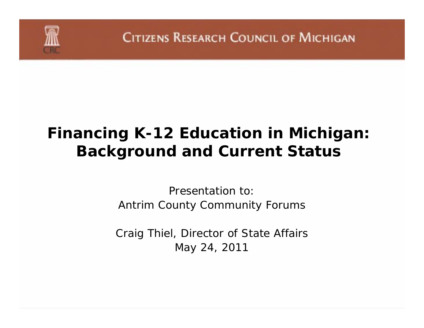

## **Financing K-12 Education in Michigan: Background and Current Status**

Presentation to:*Antrim County Community Forums*

Craig Thiel, Director of State Affairs May 24, 2011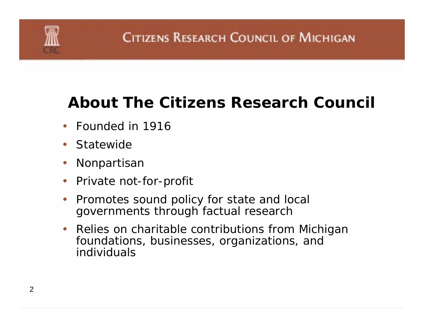## **About The Citizens Research Council**

- Founded in 1916
- Statewide
- •Nonpartisan
- •Private not-for-profit
- $\bullet$  Promotes sound policy for state and local governments through factual research
- $\bullet$  Relies on charitable contributions from Michigan foundations, businesses, organizations, and individuals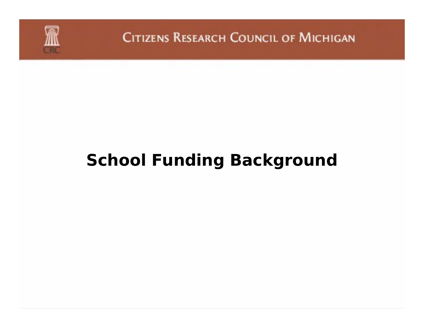

# **School Funding Background**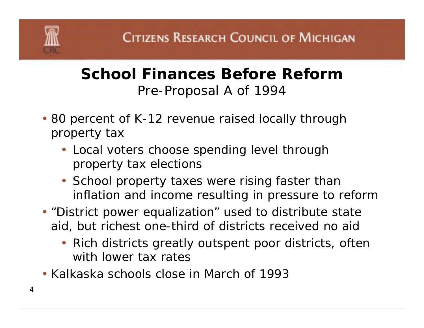## **School Finances Before Reform***Pre-Proposal A of 1994*

- 80 percent of K-12 revenue raised locally through property tax
	- Local voters choose spending level through property tax elections
	- School property taxes were rising faster than inflation and income resulting in pressure to reform
- "District power equalization" used to distribute state aid, but richest one-third of districts received no aid
	- Rich districts greatly outspent poor districts, often with lower tax rates
- Kalkaska schools close in March of 1993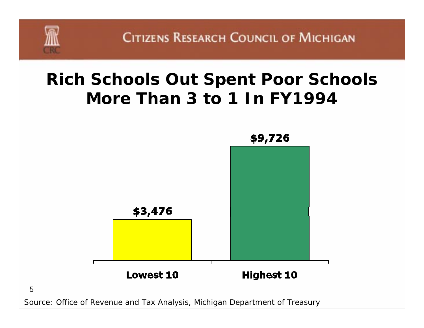# **Rich Schools Out Spent Poor Schools More Than 3 to 1 In FY1994**



5

Source: Office of Revenue and Tax Analysis, Michigan Department of Treasury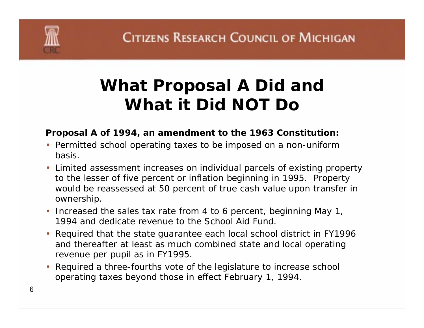# **What Proposal A Did and What it Did NOT Do**

#### **Proposal A of 1994, an amendment to the 1963 Constitution:**

- Permitted school operating taxes to be imposed on a non-uniform basis.
- Limited assessment increases on individual parcels of existing property to the lesser of five percent or inflation beginning in 1995. Property would be reassessed at 50 percent of true cash value upon transfer in ownership.
- Increased the sales tax rate from 4 to 6 percent, beginning May 1, 1994 and dedicate revenue to the School Aid Fund.
- Required that the state guarantee each local school district in FY1996 and thereafter at least as much combined state and local operating revenue per pupil as in FY1995.
- Required a three-fourths vote of the legislature to increase school operating taxes beyond those in effect February 1, 1994.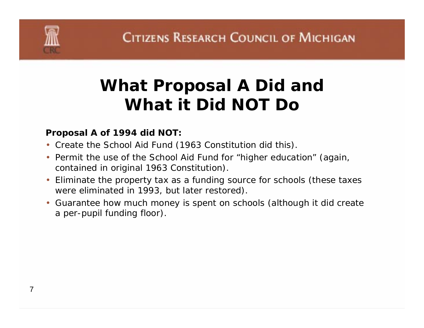# **What Proposal A Did and What it Did NOT Do**

#### **Proposal A of 1994 did NOT:**

- Create the School Aid Fund (1963 Constitution did this).
- Permit the use of the School Aid Fund for "higher education" (again, contained in original 1963 Constitution).
- Eliminate the property tax as a funding source for schools (these taxes were eliminated in 1993, but later restored).
- Guarantee how much money is spent on schools (although it did create a per-pupil funding floor).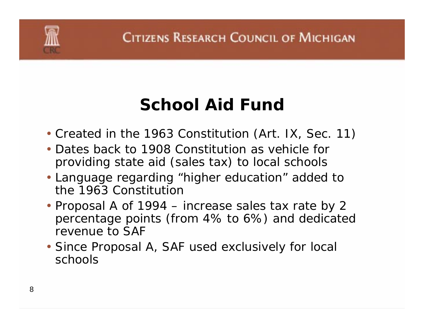# **School Aid Fund**

- Created in the 1963 Constitution (Art. IX, Sec. 11)
- Dates back to 1908 Constitution as vehicle for providing state aid (sales tax) to local schools
- Language regarding "higher education" added to the 1963 Constitution
- Proposal A of 1994 increase sales tax rate by 2 percentage points (from 4% to 6%) and dedicated revenue to SAF
- Since Proposal A, SAF used exclusively for local schools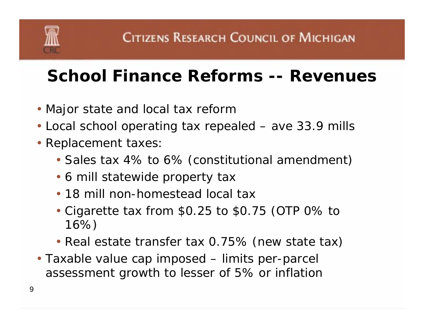# **School Finance Reforms -- Revenues**

- Major state and local tax reform
- Local school operating tax repealed ave 33.9 mills
- Replacement taxes:
	- Sales tax 4% to 6% (constitutional amendment)
	- 6 mill statewide property tax
	- 18 mill non-homestead local tax
	- Cigarette tax from \$0.25 to \$0.75 (OTP 0% to 16%)
	- Real estate transfer tax 0.75% (new state tax)
- Taxable value cap imposed limits per-parcel assessment growth to lesser of 5% or inflation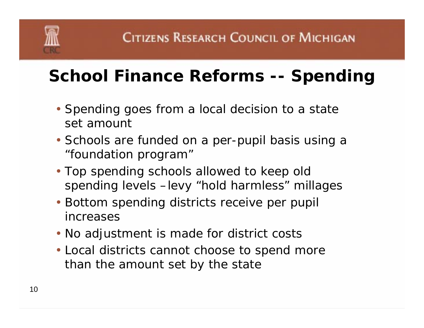# **School Finance Reforms -- Spending**

- Spending goes from a local decision to a state set amount
- Schools are funded on a per-pupil basis using a "foundation program"
- Top spending schools allowed to keep old spending levels –levy "hold harmless" millages
- Bottom spending districts receive per pupil increases
- No adjustment is made for district costs
- Local districts cannot choose to spend more than the amount set by the state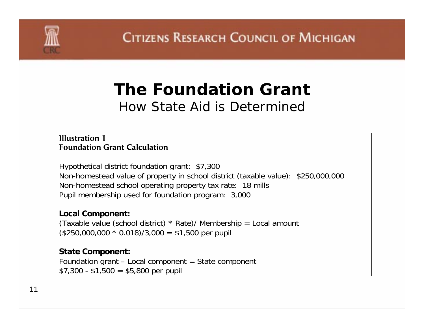

## **The Foundation Grant***How State Aid is Determined*

#### **Illustration 1 Foundation Grant Calculation**

Hypothetical district foundation grant: \$7,300 Non-homestead value of property in school district (taxable value): \$250,000,000 Non-homestead school operating property tax rate: 18 mills Pupil membership used for foundation program: 3,000

#### **Local Component:**

(Taxable value (school district)  $*$  Rate)/ Membership = Local amount  $($250,000,000 * 0.018)/3,000 = $1,500$  per pupil

#### **State Component:**

Foundation grant  $-$  Local component  $=$  State component  $$7,300 - $1,500 = $5,800$  per pupil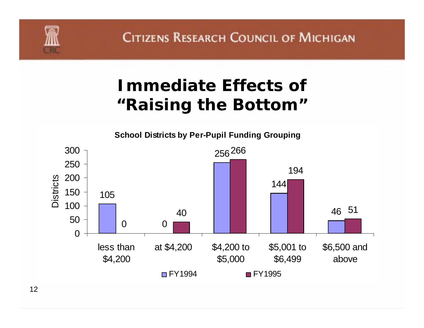

# **Immediate Effects of "Raising the Bottom"**

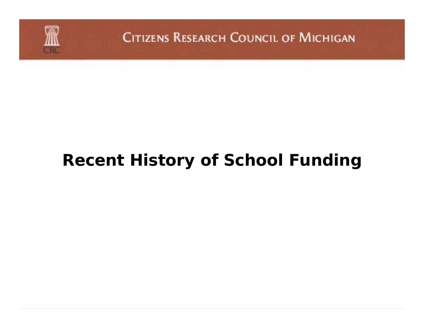

# **Recent History of School Funding**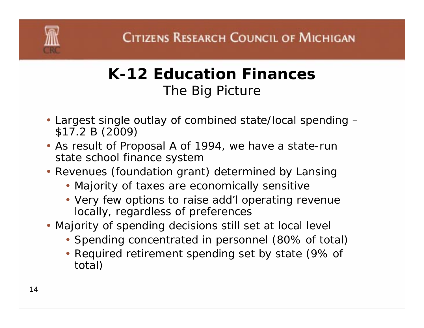

## **K-12 Education Finances***The Big Picture*

- Largest single outlay of combined state/local spending \$17.2 B (2009)
- As result of Proposal A of 1994, we have a state-run state school finance system
- Revenues (foundation grant) determined by Lansing
	- Majority of taxes are economically sensitive
	- Very few options to raise add'l operating revenue locally, regardless of preferences
- Majority of spending decisions still set at local level
	- Spending concentrated in personnel (80% of total)
	- Required retirement spending set by state (9% of total)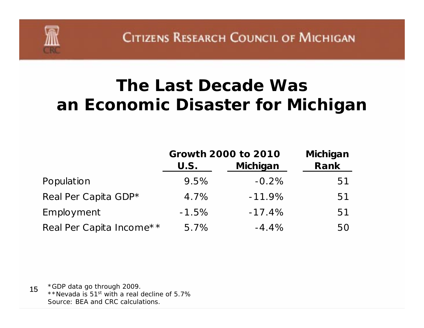## **The Last Decade Wasan Economic Disaster for Michigan**

|                          | <b>Growth 2000 to 2010</b> | Michigan |      |
|--------------------------|----------------------------|----------|------|
|                          | U.S.                       | Michigan | Rank |
| Population               | 9.5%                       | $-0.2%$  | 51   |
| Real Per Capita GDP*     | 4.7%                       | $-11.9%$ | 51   |
| Employment               | $-1.5%$                    | $-17.4%$ | 51   |
| Real Per Capita Income** | 5.7%                       | $-4.4\%$ | 50   |

15\*GDP data go through 2009. \*\*Nevada is 51st with a real decline of 5.7%Source: BEA and CRC calculations.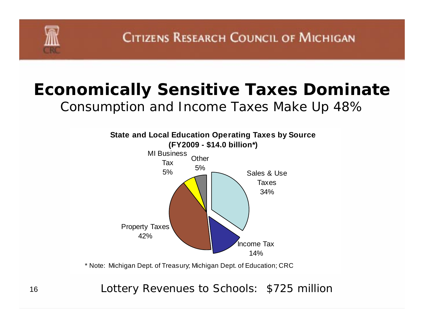

## **Economically Sensitive Taxes Dominate** *Consumption and Income Taxes Make Up 48%*



\* Note: Michigan Dept. of Treasury; Michigan Dept. of Education; CRC

Lottery Revenues to Schools: \$725 million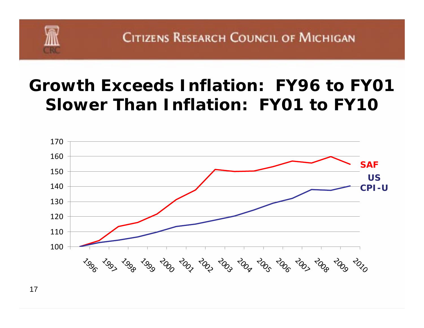# **Growth Exceeds Inflation: FY96 to FY01Slower Than Inflation: FY01 to FY10**

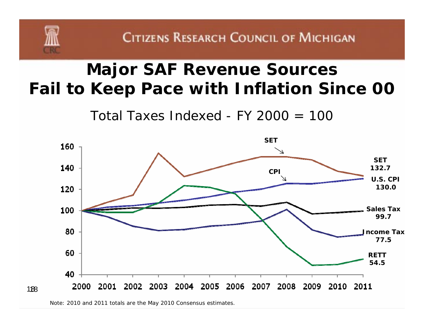## **Major SAF Revenue Sources Fail to Keep Pace with Inflation Since 00**

Total Taxes Indexed - FY 2000  $=$  100



Note: 2010 and 2011 totals are the May 2010 Consensus estimates.

188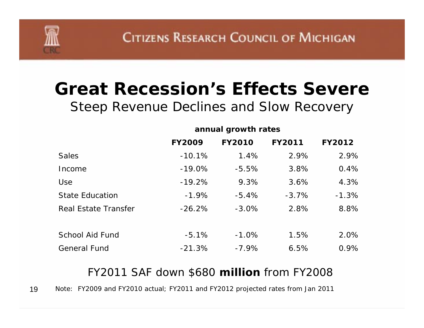# **Great Recession's Effects Severe**

*Steep Revenue Declines and Slow Recovery*

|                             | annual growth rates |               |               |               |
|-----------------------------|---------------------|---------------|---------------|---------------|
|                             | <b>FY2009</b>       | <b>FY2010</b> | <b>FY2011</b> | <b>FY2012</b> |
| <b>Sales</b>                | $-10.1%$            | 1.4%          | 2.9%          | 2.9%          |
| Income                      | $-19.0\%$           | $-5.5%$       | 3.8%          | 0.4%          |
| <b>Use</b>                  | $-19.2%$            | 9.3%          | 3.6%          | 4.3%          |
| <b>State Education</b>      | $-1.9%$             | $-5.4%$       | $-3.7%$       | $-1.3%$       |
| <b>Real Estate Transfer</b> | $-26.2%$            | $-3.0%$       | 2.8%          | 8.8%          |
| <b>School Aid Fund</b>      | $-5.1%$             | $-1.0%$       | 1.5%          | 2.0%          |
| <b>General Fund</b>         | $-21.3%$            | $-7.9\%$      | 6.5%          | 0.9%          |

#### *FY2011 SAF down \$680 million from FY2008*

19Note: FY2009 and FY2010 actual; FY2011 and FY2012 projected rates from Jan 2011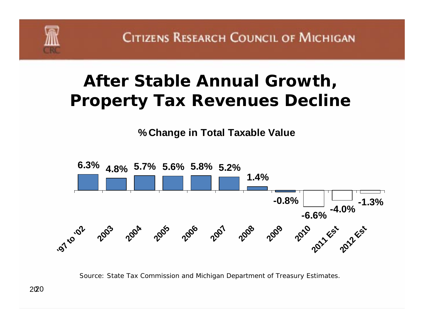# **After Stable Annual Growth, Property Tax Revenues Decline**

**% Change in Total Taxable Value**



Source: State Tax Commission and Michigan Department of Treasury Estimates.

2020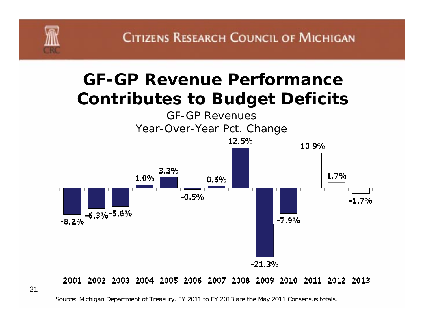# **GF-GP Revenue Performance Contributes to Budget Deficits**



21

Source: Michigan Department of Treasury. FY 2011 to FY 2013 are the May 2011 Consensus totals.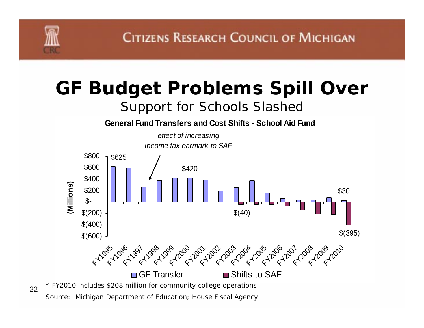# **GF Budget Problems Spill Over**

### *Support for Schools Slashed*

#### **General Fund Transfers and Cost Shifts - School Aid Fund**



Source: Michigan Department of Education; House Fiscal Agency

22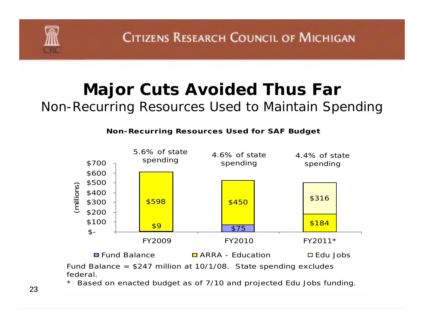## **Major Cuts Avoided Thus Far** *Non-Recurring Resources Used to Maintain Spending*

**Non-Recurring Resources Used for SAF Budget**



Fund Balance = \$247 million at 10/1/08. State spending excludes federal.

\* Based on enacted budget as of 7/10 and projected Edu Jobs funding.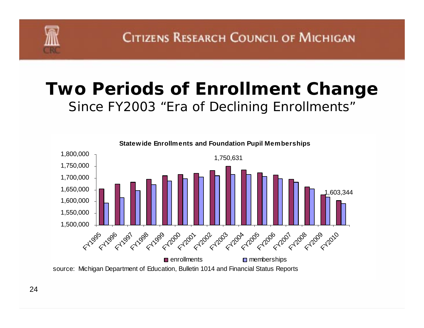## **Two Periods of Enrollment Change** *Since FY2003 "Era of Declining Enrollments"*



source: Michigan Department of Education, Bulletin 1014 and Financial Status Reports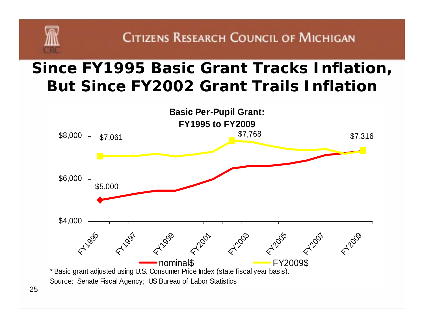## **Since FY1995 Basic Grant Tracks Inflation, But Since FY2002 Grant Trails Inflation**

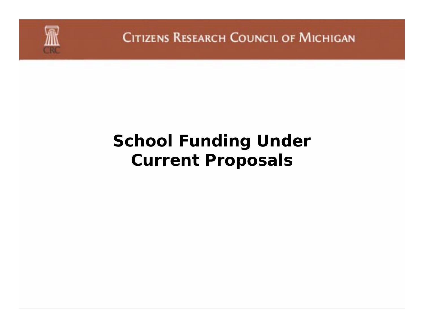

# **School Funding Under Current Proposals**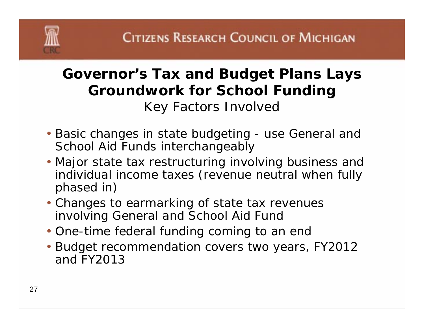## **Governor's Tax and Budget Plans Lays Groundwork for School Funding**

*Key Factors Involved*

- Basic changes in state budgeting use General and School Aid Funds interchangeably
- Major state tax restructuring involving business and individual income taxes (revenue neutral when fully phased in)
- Changes to earmarking of state tax revenues involving General and School Aid Fund
- One-time federal funding coming to an end
- Budget recommendation covers two years, FY2012 and FY2013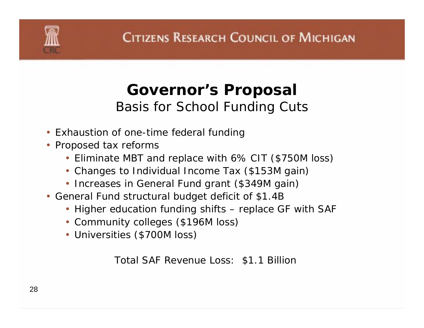## **Governor's Proposal** *Basis for School Funding Cuts*

- Exhaustion of one-time federal funding
- Proposed tax reforms
	- Eliminate MBT and replace with 6% CIT (\$750M loss)
	- Changes to Individual Income Tax (\$153M gain)
	- Increases in General Fund grant (\$349M gain)
- General Fund structural budget deficit of \$1.4B
	- Higher education funding shifts replace GF with SAF
	- Community colleges (\$196M loss)
	- Universities (\$700M loss)

*Total SAF Revenue Loss: \$1.1 Billion*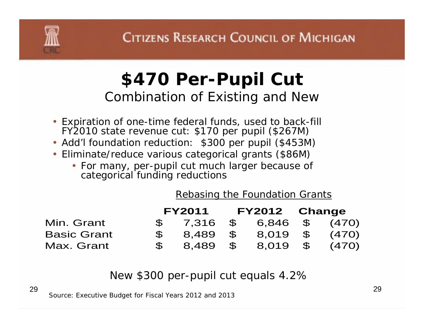# **\$470 Per-Pupil Cut**

*Combination of Existing and New*

- Expiration of one-time federal funds, used to back-fill FY2010 state revenue cut: \$170 per pupil (\$267M)
- Add'l foundation reduction: \$300 per pupil (\$453M)
- Eliminate/reduce various categorical grants (\$86M)
	- For many, per-pupil cut much larger because of categorical funding reductions

|                    | <b>Rebasing the Foundation Grants</b> |               |               |               |               |       |
|--------------------|---------------------------------------|---------------|---------------|---------------|---------------|-------|
|                    |                                       | <b>FY2011</b> |               | FY2012 Change |               |       |
| Min. Grant         |                                       | \$7.316       | $\mathbb{S}$  | 6,846 \$      |               | (470) |
| <b>Basic Grant</b> | $\mathcal{L}$                         | 8,489         | <b>S</b>      | 8,019         | $\mathcal{S}$ | (470) |
| Max. Grant         | $\mathfrak{L}$                        | 8,489         | $\mathcal{S}$ | 8,019         | $\mathcal{L}$ | (470) |

#### *New \$300 per-pupil cut equals 4.2%*

 29 Source: Executive Budget for Fiscal Years 2012 and 2013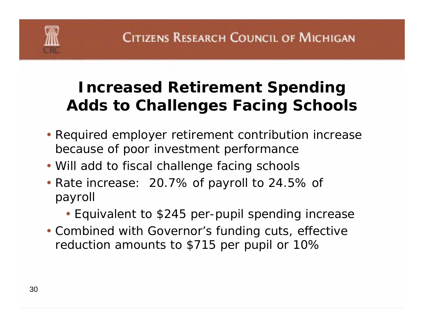# **Increased Retirement Spending Adds to Challenges Facing Schools**

- Required employer retirement contribution increase because of poor investment performance
- Will add to fiscal challenge facing schools
- Rate increase: 20.7% of payroll to 24.5% of payroll
	- Equivalent to \$245 per-pupil spending increase
- Combined with Governor's funding cuts, effective reduction amounts to \$715 per pupil or 10%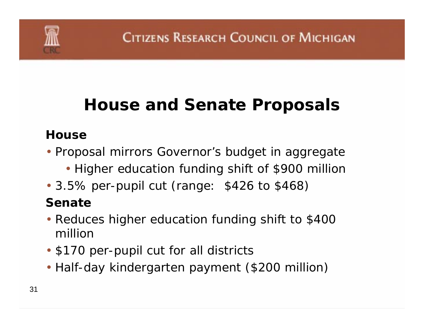# **House and Senate Proposals**

### **House**

- Proposal mirrors Governor's budget in aggregate
	- Higher education funding shift of \$900 million
- 3.5% per-pupil cut (range: \$426 to \$468)

### **Senate**

- Reduces higher education funding shift to \$400 million
- \$170 per-pupil cut for all districts
- Half-day kindergarten payment (\$200 million)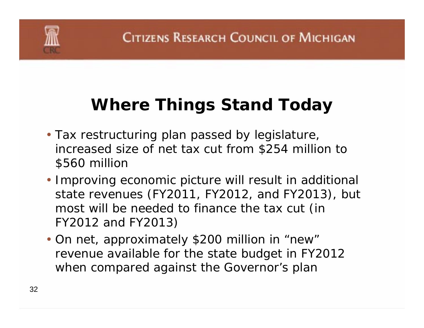# **Where Things Stand Today**

- Tax restructuring plan passed by legislature, increased size of net tax cut from \$254 million to \$560 million
- Improving economic picture will result in additional state revenues (FY2011, FY2012, and FY2013), but most will be needed to finance the tax cut (in FY2012 and FY2013)
- On net, approximately \$200 million in "new" revenue available for the state budget in FY2012 when compared against the Governor's plan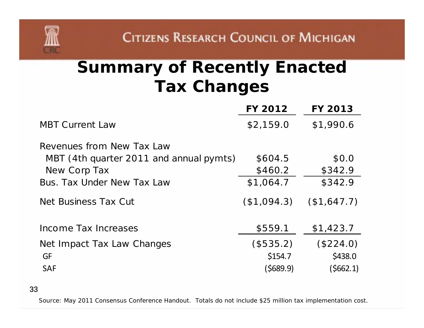# **Summary of Recently Enacted Tax Changes**

|                                         | <b>FY 2012</b> | <b>FY 2013</b> |
|-----------------------------------------|----------------|----------------|
| <b>MBT Current Law</b>                  | \$2,159.0      | \$1,990.6      |
| Revenues from New Tax Law               |                |                |
| MBT (4th quarter 2011 and annual pymts) | \$604.5        | \$0.0          |
| New Corp Tax                            | \$460.2        | \$342.9        |
| Bus. Tax Under New Tax Law              | \$1,064.7      | \$342.9        |
| <b>Net Business Tax Cut</b>             | (\$1,094.3)    | (\$1,647.7)    |
| Income Tax Increases                    | \$559.1        | \$1,423.7      |
| Net Impact Tax Law Changes              | (\$535.2)      | (\$224.0)      |
| GF                                      | \$154.7        | \$438.0        |
| <b>SAF</b>                              | (\$689.9)      | (5662.1)       |

33

Source: May 2011 Consensus Conference Handout. Totals do not include \$25 million tax implementation cost.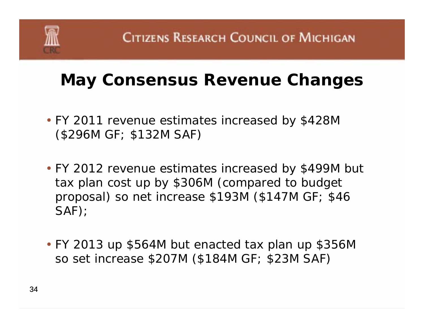## **May Consensus Revenue Changes**

- FY 2011 revenue estimates increased by \$428M (\$296M GF; \$132M SAF)
- FY 2012 revenue estimates increased by \$499M but tax plan cost up by \$306M (compared to budget proposal) so net increase \$193M (\$147M GF; \$46 SAF);
- FY 2013 up \$564M but enacted tax plan up \$356M so set increase \$207M (\$184M GF; \$23M SAF)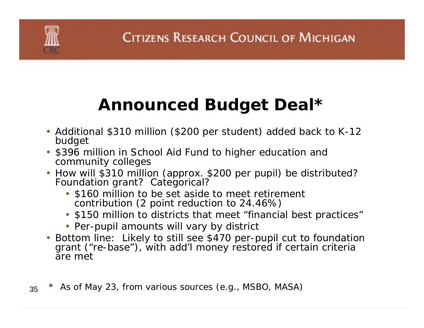# **Announced Budget Deal\***

- Additional \$310 million (\$200 per student) added back to K-12 budget
- \$396 million in School Aid Fund to higher education and community colleges
- How will \$310 million (approx. \$200 per pupil) be distributed? Foundation grant? Categorical?
	- \$160 million to be set aside to meet retirement contribution (2 point reduction to 24.46%)
	- \$150 million to districts that meet "financial best practices"
	- Per-pupil amounts will vary by district
- Bottom line: Likely to still see \$470 per-pupil cut to foundation grant ("re-base"), with add'l money restored if certain criteria are met

35\* As of May 23, from various sources (e.g., MSBO, MASA)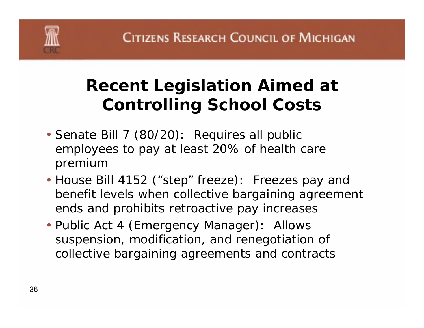# **Recent Legislation Aimed at Controlling School Costs**

- Senate Bill 7 (80/20): Requires all public employees to pay at least 20% of health care premium
- House Bill 4152 ("step" freeze): Freezes pay and benefit levels when collective bargaining agreement ends and prohibits retroactive pay increases
- Public Act 4 (Emergency Manager): Allows suspension, modification, and renegotiation of collective bargaining agreements and contracts